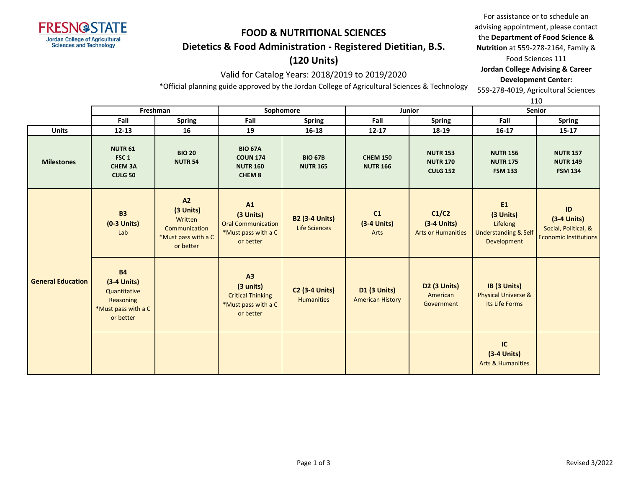

# **FOOD & NUTRITIONAL SCIENCES Dietetics & Food Administration - Registered Dietitian, B.S.**

## **(120 Units)**

### Valid for Catalog Years: 2018/2019 to 2019/2020

the **Department of Food Science & Nutrition** at 559-278-2164, Family & Food Sciences 111 **Jordan College Advising & Career Development Center:** 559-278-4019, Agricultural Sciences

For assistance or to schedule an advising appointment, please contact

\*Official planning guide approved by the Jordan College of Agricultural Sciences & Technology

110

|                          | Freshman                                                                                    |                                                                                 | Sophomore                                                                        |                                            |                                                | Junior                                                | ---<br><b>Senior</b>                                                          |                                                                             |
|--------------------------|---------------------------------------------------------------------------------------------|---------------------------------------------------------------------------------|----------------------------------------------------------------------------------|--------------------------------------------|------------------------------------------------|-------------------------------------------------------|-------------------------------------------------------------------------------|-----------------------------------------------------------------------------|
|                          | Fall                                                                                        | <b>Spring</b>                                                                   | Fall                                                                             | <b>Spring</b>                              | Fall                                           | Spring                                                | Fall                                                                          | <b>Spring</b>                                                               |
| <b>Units</b>             | $12 - 13$                                                                                   | 16                                                                              | 19                                                                               | $16 - 18$                                  | $12 - 17$                                      | 18-19                                                 | $16 - 17$                                                                     | $15 - 17$                                                                   |
| <b>Milestones</b>        | <b>NUTR 61</b><br>FSC <sub>1</sub><br><b>CHEM 3A</b><br><b>CULG 50</b>                      | <b>BIO 20</b><br><b>NUTR 54</b>                                                 | <b>BIO 67A</b><br><b>COUN 174</b><br><b>NUTR 160</b><br>CHEM <sub>8</sub>        | <b>BIO 67B</b><br><b>NUTR 165</b>          | <b>CHEM 150</b><br><b>NUTR 166</b>             | <b>NUTR 153</b><br><b>NUTR 170</b><br><b>CULG 152</b> | <b>NUTR 156</b><br><b>NUTR 175</b><br><b>FSM 133</b>                          | <b>NUTR 157</b><br><b>NUTR 149</b><br><b>FSM 134</b>                        |
|                          | <b>B3</b><br>$(0-3$ Units)<br>Lab                                                           | A2<br>(3 Units)<br>Written<br>Communication<br>*Must pass with a C<br>or better | A1<br>(3 Units)<br><b>Oral Communication</b><br>*Must pass with a C<br>or better | <b>B2 (3-4 Units)</b><br>Life Sciences     | C1<br>$(3-4$ Units)<br>Arts                    | C1/C2<br>$(3-4$ Units)<br><b>Arts or Humanities</b>   | E1<br>(3 Units)<br>Lifelong<br><b>Understanding &amp; Self</b><br>Development | ID<br>$(3-4$ Units)<br>Social, Political, &<br><b>Economic Institutions</b> |
| <b>General Education</b> | <b>B4</b><br>$(3-4$ Units)<br>Quantitative<br>Reasoning<br>*Must pass with a C<br>or better |                                                                                 | A3<br>(3 units)<br><b>Critical Thinking</b><br>*Must pass with a C<br>or better  | <b>C2 (3-4 Units)</b><br><b>Humanities</b> | <b>D1 (3 Units)</b><br><b>American History</b> | <b>D2 (3 Units)</b><br>American<br>Government         | IB (3 Units)<br><b>Physical Universe &amp;</b><br>Its Life Forms              |                                                                             |
|                          |                                                                                             |                                                                                 |                                                                                  |                                            |                                                |                                                       | IC<br>$(3-4$ Units)<br><b>Arts &amp; Humanities</b>                           |                                                                             |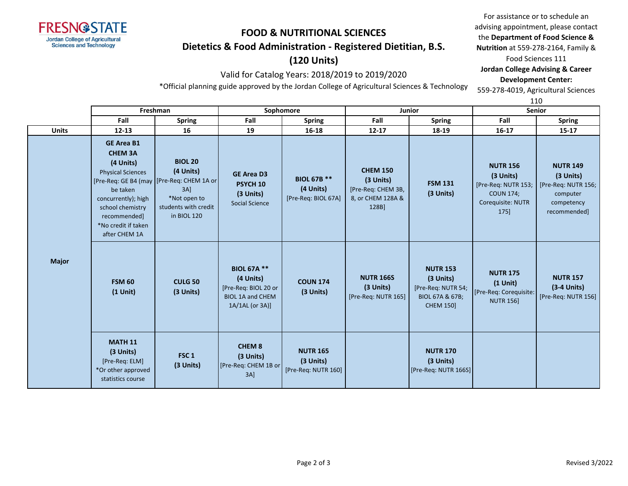

## **FOOD & NUTRITIONAL SCIENCES Dietetics & Food Administration - Registered Dietitian, B.S.**

## **(120 Units)**

### Valid for Catalog Years: 2018/2019 to 2019/2020

For assistance or to schedule an advising appointment, please contact the **Department of Food Science & Nutrition** at 559-278-2164, Family & Food Sciences 111 **Jordan College Advising & Career Development Center:** 559-278-4019, Agricultural Sciences

\*Official planning guide approved by the Jordan College of Agricultural Sciences & Technology

110

|              | Freshman                                                                                                                                                                                    |                                                                                                                                             |                                                                                                       | Sophomore                                              |                                                                                  | Junior                                                                                    | ᅩᆚᅛ<br><b>Senior</b>                                                                                 |                                                                                               |  |
|--------------|---------------------------------------------------------------------------------------------------------------------------------------------------------------------------------------------|---------------------------------------------------------------------------------------------------------------------------------------------|-------------------------------------------------------------------------------------------------------|--------------------------------------------------------|----------------------------------------------------------------------------------|-------------------------------------------------------------------------------------------|------------------------------------------------------------------------------------------------------|-----------------------------------------------------------------------------------------------|--|
|              | Fall                                                                                                                                                                                        | <b>Spring</b>                                                                                                                               | Fall                                                                                                  | <b>Spring</b>                                          | Fall                                                                             | <b>Spring</b>                                                                             | Fall                                                                                                 | <b>Spring</b>                                                                                 |  |
| <b>Units</b> | $12 - 13$                                                                                                                                                                                   | 16                                                                                                                                          | 19                                                                                                    | 16-18                                                  | $12 - 17$                                                                        | 18-19                                                                                     | $16 - 17$                                                                                            | $15 - 17$                                                                                     |  |
|              | <b>GE Area B1</b><br><b>CHEM 3A</b><br>(4 Units)<br><b>Physical Sciences</b><br>be taken<br>concurrently); high<br>school chemistry<br>recommended]<br>*No credit if taken<br>after CHEM 1A | <b>BIOL 20</b><br>(4 Units)<br>[Pre-Req: GE B4 (may   [Pre-Req: CHEM 1A or<br>$3A$ ]<br>*Not open to<br>students with credit<br>in BIOL 120 | <b>GE Area D3</b><br>PSYCH <sub>10</sub><br>(3 Units)<br><b>Social Science</b>                        | <b>BIOL 67B **</b><br>(4 Units)<br>[Pre-Req: BIOL 67A] | <b>CHEM 150</b><br>(3 Units)<br>[Pre-Req: CHEM 3B,<br>8, or CHEM 128A &<br>128B] | <b>FSM 131</b><br>(3 Units)                                                               | <b>NUTR 156</b><br>(3 Units)<br>[Pre-Req: NUTR 153;<br><b>COUN 174;</b><br>Corequisite: NUTR<br>175] | <b>NUTR 149</b><br>(3 Units)<br>[Pre-Req: NUTR 156;<br>computer<br>competency<br>recommended] |  |
| <b>Major</b> | <b>FSM 60</b><br>$(1$ Unit)                                                                                                                                                                 | <b>CULG 50</b><br>(3 Units)                                                                                                                 | <b>BIOL 67A **</b><br>(4 Units)<br>[Pre-Req: BIOL 20 or<br><b>BIOL 1A and CHEM</b><br>1A/1AL (or 3A)] | <b>COUN 174</b><br>(3 Units)                           | <b>NUTR 166S</b><br>(3 Units)<br>[Pre-Req: NUTR 165]                             | <b>NUTR 153</b><br>(3 Units)<br>[Pre-Req: NUTR 54;<br>BIOL 67A & 67B;<br><b>CHEM 150]</b> | <b>NUTR 175</b><br>$(1$ Unit)<br>[Pre-Req: Corequisite:<br><b>NUTR 156]</b>                          | <b>NUTR 157</b><br>$(3-4$ Units)<br>[Pre-Req: NUTR 156]                                       |  |
|              | <b>MATH 11</b><br>(3 Units)<br>[Pre-Req: ELM]<br>*Or other approved<br>statistics course                                                                                                    | FSC <sub>1</sub><br>(3 Units)                                                                                                               | <b>CHEM 8</b><br>(3 Units)<br>[Pre-Req: CHEM 1B or<br>$3A$ ]                                          | <b>NUTR 165</b><br>(3 Units)<br>[Pre-Req: NUTR 160]    |                                                                                  | <b>NUTR 170</b><br>(3 Units)<br>[Pre-Req: NUTR 166S]                                      |                                                                                                      |                                                                                               |  |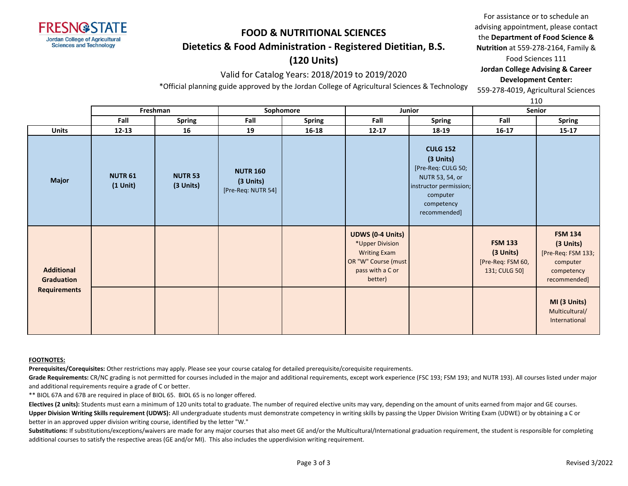

## **FOOD & NUTRITIONAL SCIENCES Dietetics & Food Administration - Registered Dietitian, B.S.**

## **(120 Units)**

#### Valid for Catalog Years: 2018/2019 to 2019/2020

For assistance or to schedule an advising appointment, please contact the **Department of Food Science & Nutrition** at 559-278-2164, Family & Food Sciences 111 **Jordan College Advising & Career Development Center:**

\*Official planning guide approved by the Jordan College of Agricultural Sciences & Technology

559-278-4019, Agricultural Sciences 110

|                                        |                              | Freshman<br>Sophomore<br><b>Junior</b> |                                                      | <b>Senior</b> |                                                                                                                         |                                                                                                                                           |                                                                   |                                                                                             |
|----------------------------------------|------------------------------|----------------------------------------|------------------------------------------------------|---------------|-------------------------------------------------------------------------------------------------------------------------|-------------------------------------------------------------------------------------------------------------------------------------------|-------------------------------------------------------------------|---------------------------------------------------------------------------------------------|
|                                        | Fall                         | Spring                                 | Fall                                                 | <b>Spring</b> | Fall                                                                                                                    | <b>Spring</b>                                                                                                                             | Fall                                                              | <b>Spring</b>                                                                               |
| <b>Units</b>                           | $12 - 13$                    | 16                                     | 19                                                   | 16-18         | $12 - 17$                                                                                                               | 18-19                                                                                                                                     | $16-17$                                                           | $15-17$                                                                                     |
| <b>Major</b>                           | <b>NUTR 61</b><br>$(1$ Unit) | <b>NUTR 53</b><br>(3 Units)            | <b>NUTR 160</b><br>$(3$ Units)<br>[Pre-Req: NUTR 54] |               |                                                                                                                         | <b>CULG 152</b><br>(3 Units)<br>[Pre-Req: CULG 50;<br>NUTR 53, 54, or<br>instructor permission;<br>computer<br>competency<br>recommended] |                                                                   |                                                                                             |
| <b>Additional</b><br><b>Graduation</b> |                              |                                        |                                                      |               | <b>UDWS (0-4 Units)</b><br>*Upper Division<br><b>Writing Exam</b><br>OR "W" Course (must<br>pass with a C or<br>better) |                                                                                                                                           | <b>FSM 133</b><br>(3 Units)<br>[Pre-Req: FSM 60,<br>131; CULG 50] | <b>FSM 134</b><br>(3 Units)<br>[Pre-Req: FSM 133;<br>computer<br>competency<br>recommended] |
| <b>Requirements</b>                    |                              |                                        |                                                      |               |                                                                                                                         |                                                                                                                                           |                                                                   | MI (3 Units)<br>Multicultural/<br>International                                             |

#### **FOOTNOTES:**

**Prerequisites/Corequisites:** Other restrictions may apply. Please see your course catalog for detailed prerequisite/corequisite requirements.

Grade Requirements: CR/NC grading is not permitted for courses included in the major and additional requirements, except work experience (FSC 193; FSM 193; and NUTR 193). All courses listed under major and additional requirements require a grade of C or better.

\*\* BIOL 67A and 67B are required in place of BIOL 65. BIOL 65 is no longer offered.

**Electives (2 units):** Students must earn a minimum of 120 units total to graduate. The number of required elective units may vary, depending on the amount of units earned from major and GE courses. Upper Division Writing Skills requirement (UDWS): All undergraduate students must demonstrate competency in writing skills by passing the Upper Division Writing Exam (UDWE) or by obtaining a C or better in an approved upper division writing course, identified by the letter "W."

Substitutions: If substitutions/exceptions/waivers are made for any major courses that also meet GE and/or the Multicultural/International graduation requirement, the student is responsible for completing additional courses to satisfy the respective areas (GE and/or MI). This also includes the upperdivision writing requirement.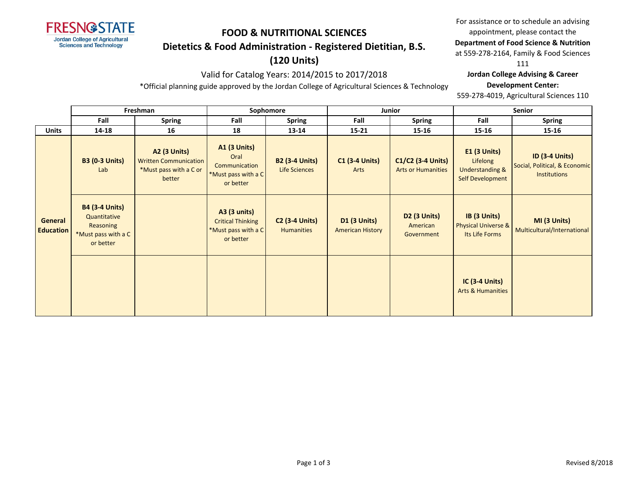

## **FOOD & NUTRITIONAL SCIENCES**

### **Dietetics & Food Administration - Registered Dietitian, B.S.**

## **(120 Units)**

### Valid for Catalog Years: 2014/2015 to 2017/2018

\*Official planning guide approved by the Jordan College of Agricultural Sciences & Technology

For assistance or to schedule an advising appointment, please contact the

### **Department of Food Science & Nutrition**

at 559-278-2164, Family & Food Sciences

111

#### **Jordan College Advising & Career**

#### **Development Center:**

559-278-4019, Agricultural Sciences 110

|                             | Freshman                                                                               |                                                                                         | Sophomore                                                                           |                                               |                                                | Junior                                         | <b>Senior</b>                                                                     |                                                                               |  |
|-----------------------------|----------------------------------------------------------------------------------------|-----------------------------------------------------------------------------------------|-------------------------------------------------------------------------------------|-----------------------------------------------|------------------------------------------------|------------------------------------------------|-----------------------------------------------------------------------------------|-------------------------------------------------------------------------------|--|
|                             | Fall                                                                                   | <b>Spring</b>                                                                           | Fall                                                                                | <b>Spring</b>                                 | Fall                                           | <b>Spring</b>                                  | Fall                                                                              | <b>Spring</b>                                                                 |  |
| <b>Units</b>                | 14-18                                                                                  | 16                                                                                      | 18                                                                                  | 13-14                                         | $15 - 21$                                      | 15-16                                          | 15-16                                                                             | 15-16                                                                         |  |
|                             | <b>B3 (0-3 Units)</b><br>Lab                                                           | <b>A2 (3 Units)</b><br><b>Written Communication</b><br>*Must pass with a C or<br>better | <b>A1 (3 Units)</b><br>Oral<br>Communication<br>*Must pass with a C<br>or better    | <b>B2 (3-4 Units)</b><br><b>Life Sciences</b> | <b>C1 (3-4 Units)</b><br>Arts                  | C1/C2 (3-4 Units)<br><b>Arts or Humanities</b> | <b>E1 (3 Units)</b><br>Lifelong<br><b>Understanding &amp;</b><br>Self Development | <b>ID (3-4 Units)</b><br>Social, Political, & Economic<br><b>Institutions</b> |  |
| General<br><b>Education</b> | <b>B4 (3-4 Units)</b><br>Quantitative<br>Reasoning<br>*Must pass with a C<br>or better |                                                                                         | <b>A3 (3 units)</b><br><b>Critical Thinking</b><br>*Must pass with a C<br>or better | <b>C2 (3-4 Units)</b><br><b>Humanities</b>    | <b>D1 (3 Units)</b><br><b>American History</b> | <b>D2 (3 Units)</b><br>American<br>Government  | IB (3 Units)<br><b>Physical Universe &amp;</b><br>Its Life Forms                  | MI (3 Units)<br>Multicultural/International                                   |  |
|                             |                                                                                        |                                                                                         |                                                                                     |                                               |                                                |                                                | <b>IC (3-4 Units)</b><br><b>Arts &amp; Humanities</b>                             |                                                                               |  |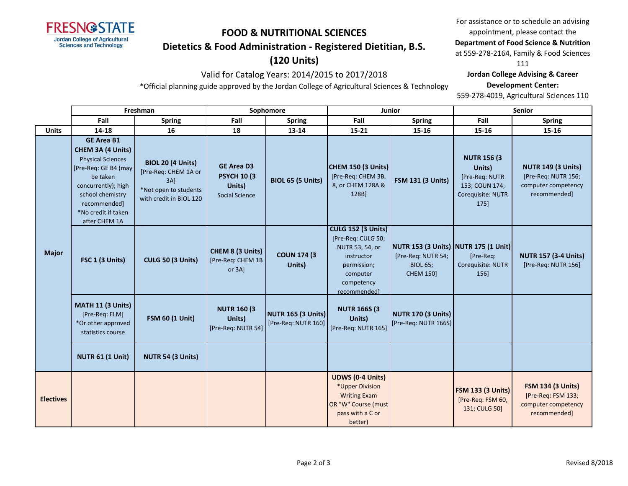

# **FOOD & NUTRITIONAL SCIENCES**

### **Dietetics & Food Administration - Registered Dietitian, B.S.**

## **(120 Units)**

### Valid for Catalog Years: 2014/2015 to 2017/2018

\*Official planning guide approved by the Jordan College of Agricultural Sciences & Technology

For assistance or to schedule an advising appointment, please contact the

### **Department of Food Science & Nutrition**

at 559-278-2164, Family & Food Sciences

111

#### **Jordan College Advising & Career**

#### **Development Center:**

559-278-4019, Agricultural Sciences 110

|                  | Freshman                                                                                                                                                                                                         |                                                                                                             | Sophomore                                                                   |                                                  | <b>Junior</b>                                                                                                                             |                                                                                                   | <b>Senior</b>                                                                                  |                                                                                         |
|------------------|------------------------------------------------------------------------------------------------------------------------------------------------------------------------------------------------------------------|-------------------------------------------------------------------------------------------------------------|-----------------------------------------------------------------------------|--------------------------------------------------|-------------------------------------------------------------------------------------------------------------------------------------------|---------------------------------------------------------------------------------------------------|------------------------------------------------------------------------------------------------|-----------------------------------------------------------------------------------------|
|                  | Fall                                                                                                                                                                                                             | <b>Spring</b>                                                                                               | Fall                                                                        | <b>Spring</b>                                    | Fall                                                                                                                                      | <b>Spring</b>                                                                                     | Fall                                                                                           | <b>Spring</b>                                                                           |
| <b>Units</b>     | 14-18                                                                                                                                                                                                            | 16                                                                                                          | 18                                                                          | 13-14                                            | $15 - 21$                                                                                                                                 | 15-16                                                                                             | 15-16                                                                                          | 15-16                                                                                   |
| <b>Major</b>     | <b>GE Area B1</b><br><b>CHEM 3A (4 Units)</b><br><b>Physical Sciences</b><br>[Pre-Req: GE B4 (may<br>be taken<br>concurrently); high<br>school chemistry<br>recommended]<br>*No credit if taken<br>after CHEM 1A | <b>BIOL 20 (4 Units)</b><br>[Pre-Req: CHEM 1A or<br>3AI<br>*Not open to students<br>with credit in BIOL 120 | <b>GE Area D3</b><br><b>PSYCH 10 (3)</b><br>Units)<br><b>Social Science</b> | <b>BIOL 65 (5 Units)</b>                         | CHEM 150 (3 Units)<br>[Pre-Req: CHEM 3B,<br>8, or CHEM 128A &<br>128B]                                                                    | <b>FSM 131 (3 Units)</b>                                                                          | <b>NUTR 156 (3)</b><br>Units)<br>[Pre-Req: NUTR<br>153; COUN 174;<br>Corequisite: NUTR<br>175] | <b>NUTR 149 (3 Units)</b><br>[Pre-Req: NUTR 156;<br>computer competency<br>recommended] |
|                  | FSC 1 (3 Units)                                                                                                                                                                                                  | CULG 50 (3 Units)                                                                                           | CHEM 8 (3 Units)<br>[Pre-Req: CHEM 1B<br>or 3A]                             | <b>COUN 174 (3)</b><br>Units)                    | <b>CULG 152 (3 Units)</b><br>[Pre-Req: CULG 50;<br>NUTR 53, 54, or<br>instructor<br>permission;<br>computer<br>competency<br>recommended] | NUTR 153 (3 Units) NUTR 175 (1 Unit)<br>[Pre-Req: NUTR 54;<br><b>BIOL 65;</b><br><b>CHEM 150]</b> | [Pre-Req:<br>Corequisite: NUTR<br>156]                                                         | <b>NUTR 157 (3-4 Units)</b><br>[Pre-Req: NUTR 156]                                      |
|                  | MATH 11 (3 Units)<br>[Pre-Req: ELM]<br>*Or other approved<br>statistics course                                                                                                                                   | <b>FSM 60 (1 Unit)</b>                                                                                      | <b>NUTR 160 (3)</b><br>Units)<br>[Pre-Req: NUTR 54]                         | <b>NUTR 165 (3 Units)</b><br>[Pre-Req: NUTR 160] | <b>NUTR 166S (3)</b><br>Units)<br>[Pre-Req: NUTR 165]                                                                                     | <b>NUTR 170 (3 Units)</b><br>[Pre-Req: NUTR 166S]                                                 |                                                                                                |                                                                                         |
|                  | <b>NUTR 61 (1 Unit)</b>                                                                                                                                                                                          | NUTR 54 (3 Units)                                                                                           |                                                                             |                                                  |                                                                                                                                           |                                                                                                   |                                                                                                |                                                                                         |
| <b>Electives</b> |                                                                                                                                                                                                                  |                                                                                                             |                                                                             |                                                  | <b>UDWS (0-4 Units)</b><br>*Upper Division<br><b>Writing Exam</b><br>OR "W" Course (must<br>pass with a C or<br>better)                   |                                                                                                   | <b>FSM 133 (3 Units)</b><br>[Pre-Req: FSM 60,<br>131; CULG 50]                                 | <b>FSM 134 (3 Units)</b><br>[Pre-Req: FSM 133;<br>computer competency<br>recommended]   |